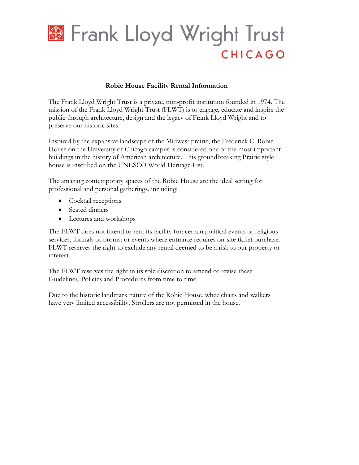

## **Robie House Facility Rental Information**

The Frank Lloyd Wright Trust is a private, non-profit institution founded in 1974. The mission of the Frank Lloyd Wright Trust (FLWT) is to engage, educate and inspire the public through architecture, design and the legacy of Frank Lloyd Wright and to preserve our historic sites.

Inspired by the expansive landscape of the Midwest prairie, the Frederick C. Robie House on the University of Chicago campus is considered one of the most important buildings in the history of American architecture. This groundbreaking Prairie style house is inscribed on the UNESCO World Heritage List.

The amazing contemporary spaces of the Robie House are the ideal setting for professional and personal gatherings, including:

- Cocktail receptions
- Seated dinners
- Lectures and workshops

The FLWT does not intend to rent its facility for: certain political events or religious services; formals or proms; or events where entrance requires on-site ticket purchase. FLWT reserves the right to exclude any rental deemed to be a risk to our property or interest.

The FLWT reserves the right in its sole discretion to amend or revise these Guidelines, Policies and Procedures from time to time.

Due to the historic landmark nature of the Robie House, wheelchairs and walkers have very limited accessibility. Strollers are not permitted in the house.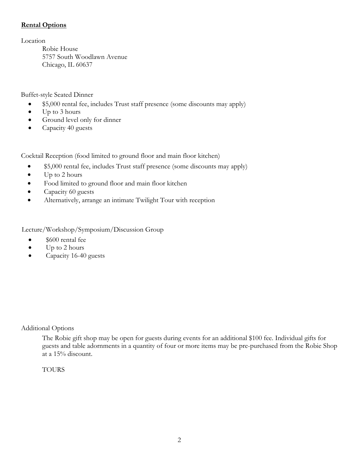## **Rental Options**

Location

Robie House 5757 South Woodlawn Avenue Chicago, IL 60637

Buffet-style Seated Dinner

- \$5,000 rental fee, includes Trust staff presence (some discounts may apply)
- Up to 3 hours
- Ground level only for dinner
- Capacity 40 guests

Cocktail Reception (food limited to ground floor and main floor kitchen)

- \$5,000 rental fee, includes Trust staff presence (some discounts may apply)
- Up to 2 hours
- Food limited to ground floor and main floor kitchen
- Capacity 60 guests
- Alternatively, arrange an intimate Twilight Tour with reception

Lecture/Workshop/Symposium/Discussion Group

- \$600 rental fee
- $\bullet$  Up to 2 hours
- Capacity 16-40 guests

Additional Options

The Robie gift shop may be open for guests during events for an additional \$100 fee. Individual gifts for guests and table adornments in a quantity of four or more items may be pre-purchased from the Robie Shop at a 15% discount.

## **TOURS**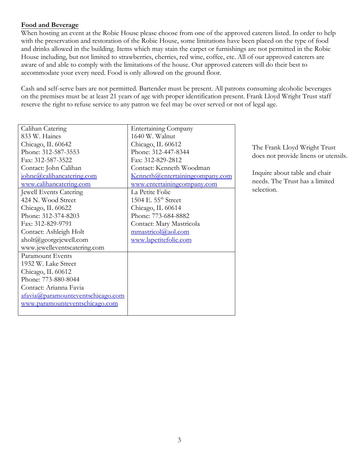## **Food and Beverage**

When hosting an event at the Robie House please choose from one of the approved caterers listed. In order to help with the preservation and restoration of the Robie House, some limitations have been placed on the type of food and drinks allowed in the building. Items which may stain the carpet or furnishings are not permitted in the Robie House including, but not limited to strawberries, cherries, red wine, coffee, etc. All of our approved caterers are aware of and able to comply with the limitations of the house. Our approved caterers will do their best to accommodate your every need. Food is only allowed on the ground floor.

Cash and self-serve bars are not permitted. Bartender must be present. All patrons consuming alcoholic beverages on the premises must be at least 21 years of age with proper identification present. Frank Lloyd Wright Trust staff reserve the right to refuse service to any patron we feel may be over served or not of legal age.

| Calihan Catering                              | <b>Entertaining Company</b>     |
|-----------------------------------------------|---------------------------------|
| 833 W. Haines                                 | 1640 W. Walnut                  |
| Chicago, IL 60642                             | Chicago, IL 60612               |
| Phone: 312-587-3553                           | Phone: 312-447-8344             |
| Fax: 312-587-3522                             | Fax: 312-829-2812               |
| Contact: John Calihan                         | Contact: Kenneth Woodman        |
| johnc@calihancatering.com                     | Kenneth@entertainingcompany.com |
| www.calihancatering.com                       | www.entertainingcompany.com     |
| Jewell Events Catering                        | La Petite Folie                 |
| 424 N. Wood Street                            | 1504 E. 55 <sup>th</sup> Street |
| Chicago, IL 60622                             | Chicago, IL 60614               |
| Phone: 312-374-8203                           | Phone: 773-684-8882             |
| Fax: 312-829-9791                             | Contact: Mary Mastricola        |
| Contact: Ashleigh Holt                        | mmastricol@aol.com              |
| $\text{aholt}(\hat{\omega})$ georgejewell.com | www.lapetitefolie.com           |
| www.jewelleventscatering.com                  |                                 |
| Paramount Events                              |                                 |
| 1932 W. Lake Street                           |                                 |
| Chicago, IL 60612                             |                                 |
| Phone: 773-880-8044                           |                                 |
| Contact: Arianna Favia                        |                                 |
| afavia@paramounteventschicago.com             |                                 |
| www.paramounteventschicago.com                |                                 |
|                                               |                                 |

The Frank Lloyd Wright Trust does not provide linens or utensils.

Inquire about table and chair needs. The Trust has a limited selection.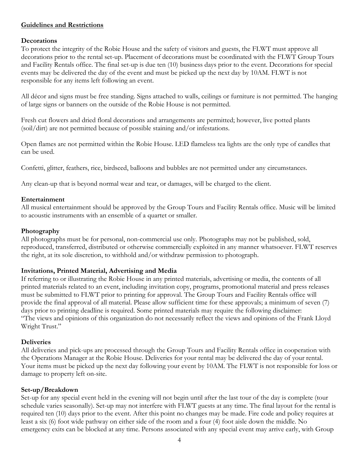## **Guidelines and Restrictions**

#### **Decorations**

To protect the integrity of the Robie House and the safety of visitors and guests, the FLWT must approve all decorations prior to the rental set-up. Placement of decorations must be coordinated with the FLWT Group Tours and Facility Rentals office. The final set-up is due ten (10) business days prior to the event. Decorations for special events may be delivered the day of the event and must be picked up the next day by 10AM. FLWT is not responsible for any items left following an event.

All décor and signs must be free standing. Signs attached to walls, ceilings or furniture is not permitted. The hanging of large signs or banners on the outside of the Robie House is not permitted.

Fresh cut flowers and dried floral decorations and arrangements are permitted; however, live potted plants (soil/dirt) are not permitted because of possible staining and/or infestations.

Open flames are not permitted within the Robie House. LED flameless tea lights are the only type of candles that can be used.

Confetti, glitter, feathers, rice, birdseed, balloons and bubbles are not permitted under any circumstances.

Any clean-up that is beyond normal wear and tear, or damages, will be charged to the client.

## **Entertainment**

All musical entertainment should be approved by the Group Tours and Facility Rentals office. Music will be limited to acoustic instruments with an ensemble of a quartet or smaller.

### **Photography**

All photographs must be for personal, non-commercial use only. Photographs may not be published, sold, reproduced, transferred, distributed or otherwise commercially exploited in any manner whatsoever. FLWT reserves the right, at its sole discretion, to withhold and/or withdraw permission to photograph.

#### **Invitations, Printed Material, Advertising and Media**

If referring to or illustrating the Robie House in any printed materials, advertising or media, the contents of all printed materials related to an event, including invitation copy, programs, promotional material and press releases must be submitted to FLWT prior to printing for approval. The Group Tours and Facility Rentals office will provide the final approval of all material. Please allow sufficient time for these approvals; a minimum of seven (7) days prior to printing deadline is required. Some printed materials may require the following disclaimer: "The views and opinions of this organization do not necessarily reflect the views and opinions of the Frank Lloyd Wright Trust."

#### **Deliveries**

All deliveries and pick-ups are processed through the Group Tours and Facility Rentals office in cooperation with the Operations Manager at the Robie House. Deliveries for your rental may be delivered the day of your rental. Your items must be picked up the next day following your event by 10AM. The FLWT is not responsible for loss or damage to property left on-site.

#### **Set-up/Breakdown**

Set-up for any special event held in the evening will not begin until after the last tour of the day is complete (tour schedule varies seasonally). Set-up may not interfere with FLWT guests at any time. The final layout for the rental is required ten (10) days prior to the event. After this point no changes may be made. Fire code and policy requires at least a six (6) foot wide pathway on either side of the room and a four (4) foot aisle down the middle. No emergency exits can be blocked at any time. Persons associated with any special event may arrive early, with Group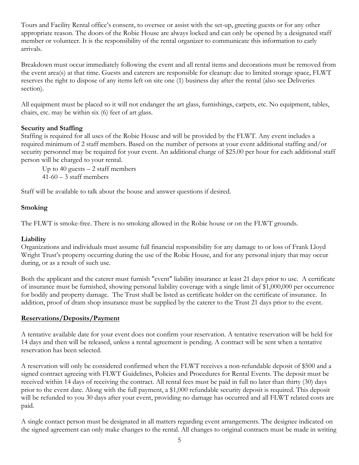Tours and Facility Rental office's consent, to oversee or assist with the set-up, greeting guests or for any other appropriate reason. The doors of the Robie House are always locked and can only be opened by a designated staff member or volunteer. It is the responsibility of the rental organizer to communicate this information to early arrivals.

Breakdown must occur immediately following the event and all rental items and decorations must be removed from the event area(s) at that time. Guests and caterers are responsible for cleanup: due to limited storage space, FLWT reserves the right to dispose of any items left on site one (1) business day after the rental (also see Deliveries section).

All equipment must be placed so it will not endanger the art glass, furnishings, carpets, etc. No equipment, tables, chairs, etc. may be within six (6) feet of art glass.

## **Security and Staffing**

Staffing is required for all uses of the Robie House and will be provided by the FLWT. Any event includes a required minimum of 2 staff members. Based on the number of persons at your event additional staffing and/or security personnel may be required for your event. An additional charge of \$25.00 per hour for each additional staff person will be charged to your rental.

Up to 40 guests  $-2$  staff members  $41-60 - 3$  staff members

Staff will be available to talk about the house and answer questions if desired.

# **Smoking**

The FLWT is smoke-free. There is no smoking allowed in the Robie house or on the FLWT grounds.

## **Liability**

Organizations and individuals must assume full financial responsibility for any damage to or loss of Frank Lloyd Wright Trust's property occurring during the use of the Robie House, and for any personal injury that may occur during, or as a result of such use.

Both the applicant and the caterer must furnish "event" liability insurance at least 21 days prior to use. A certificate of insurance must be furnished, showing personal liability coverage with a single limit of \$1,000,000 per occurrence for bodily and property damage. The Trust shall be listed as certificate holder on the certificate of insurance. In addition, proof of dram shop insurance must be supplied by the caterer to the Trust 21 days prior to the event.

## **Reservations/Deposits/Payment**

A tentative available date for your event does not confirm your reservation. A tentative reservation will be held for 14 days and then will be released, unless a rental agreement is pending. A contract will be sent when a tentative reservation has been selected.

A reservation will only be considered confirmed when the FLWT receives a non-refundable deposit of \$500 and a signed contract agreeing with FLWT Guidelines, Policies and Procedures for Rental Events. The deposit must be received within 14 days of receiving the contract. All rental fees must be paid in full no later than thirty (30) days prior to the event date. Along with the full payment, a \$1,000 refundable security deposit is required. This deposit will be refunded to you 30 days after your event, providing no damage has occurred and all FLWT related costs are paid.

A single contact person must be designated in all matters regarding event arrangements. The designee indicated on the signed agreement can only make changes to the rental. All changes to original contracts must be made in writing